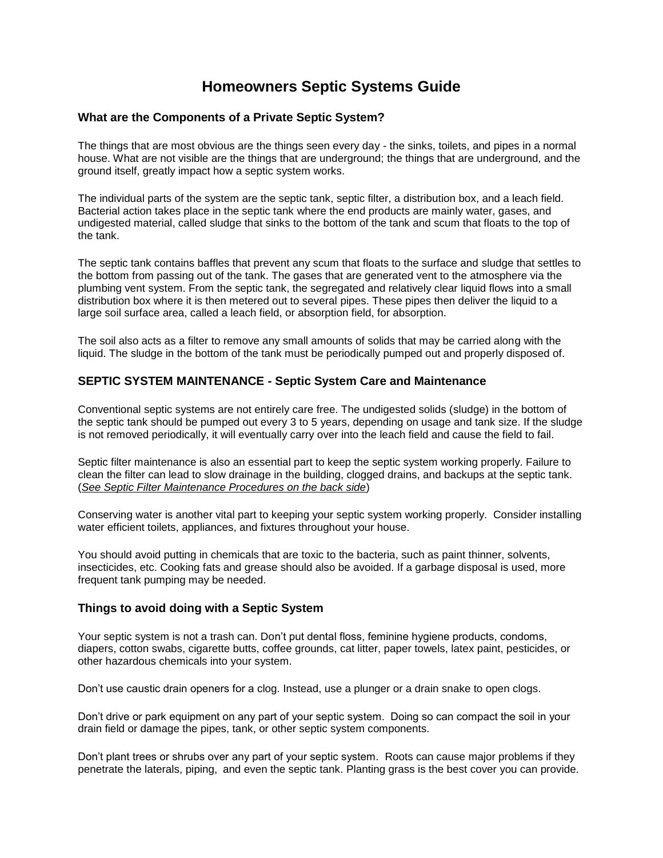# **Homeowners Septic Systems Guide**

### **What are the Components of a Private Septic System?**

The things that are most obvious are the things seen every day - the sinks, toilets, and pipes in a normal house. What are not visible are the things that are underground; the things that are underground, and the ground itself, greatly impact how a septic system works.

The individual parts of the system are the septic tank, septic filter, a distribution box, and a leach field. Bacterial action takes place in the septic tank where the end products are mainly water, gases, and undigested material, called sludge that sinks to the bottom of the tank and scum that floats to the top of the tank.

The septic tank contains baffles that prevent any scum that floats to the surface and sludge that settles to the bottom from passing out of the tank. The gases that are generated vent to the atmosphere via the plumbing vent system. From the septic tank, the segregated and relatively clear liquid flows into a small distribution box where it is then metered out to several pipes. These pipes then deliver the liquid to a large soil surface area, called a leach field, or absorption field, for absorption.

The soil also acts as a filter to remove any small amounts of solids that may be carried along with the liquid. The sludge in the bottom of the tank must be periodically pumped out and properly disposed of.

## **SEPTIC SYSTEM MAINTENANCE - Septic System Care and Maintenance**

Conventional septic systems are not entirely care free. The undigested solids (sludge) in the bottom of the septic tank should be pumped out every 3 to 5 years, depending on usage and tank size. If the sludge is not removed periodically, it will eventually carry over into the leach field and cause the field to fail.

Septic filter maintenance is also an essential part to keep the septic system working properly. Failure to clean the filter can lead to slow drainage in the building, clogged drains, and backups at the septic tank. (*See Septic Filter Maintenance Procedures on the back side*)

Conserving water is another vital part to keeping your septic system working properly. Consider installing water efficient toilets, appliances, and fixtures throughout your house.

You should avoid putting in chemicals that are toxic to the bacteria, such as paint thinner, solvents, insecticides, etc. Cooking fats and grease should also be avoided. If a garbage disposal is used, more frequent tank pumping may be needed.

### **Things to avoid doing with a Septic System**

Your septic system is not a trash can. Don't put dental floss, feminine hygiene products, condoms, diapers, cotton swabs, cigarette butts, coffee grounds, cat litter, paper towels, latex paint, pesticides, or other hazardous chemicals into your system.

Don't use caustic drain openers for a clog. Instead, use a plunger or a drain snake to open clogs.

Don't drive or park equipment on any part of your septic system. Doing so can compact the soil in your drain field or damage the pipes, tank, or other septic system components.

Don't plant trees or shrubs over any part of your septic system. Roots can cause major problems if they penetrate the laterals, piping, and even the septic tank. Planting grass is the best cover you can provide.